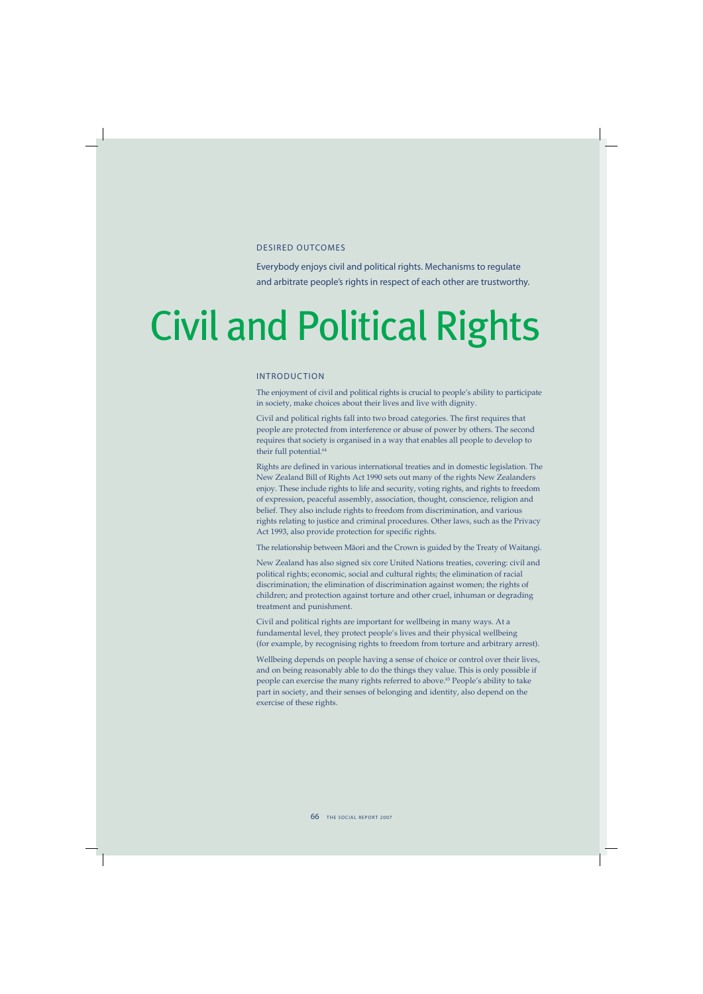### DESIRED OUTCOMES

Everybody enjoys civil and political rights. Mechanisms to regulate and arbitrate people's rights in respect of each other are trustworthy.

# Civil and Political Rights

## INTRODUCTION

The enjoyment of civil and political rights is crucial to people's ability to participate in society, make choices about their lives and live with dignity.

Civil and political rights fall into two broad categories. The first requires that people are protected from interference or abuse of power by others. The second requires that society is organised in a way that enables all people to develop to their full potential.<sup>64</sup>

Rights are defined in various international treaties and in domestic legislation. The New Zealand Bill of Rights Act 1990 sets out many of the rights New Zealanders enjoy. These include rights to life and security, voting rights, and rights to freedom of expression, peaceful assembly, association, thought, conscience, religion and belief. They also include rights to freedom from discrimination, and various rights relating to justice and criminal procedures. Other laws, such as the Privacy Act 1993, also provide protection for specific rights.

The relationship between Mäori and the Crown is guided by the Treaty of Waitangi.

New Zealand has also signed six core United Nations treaties, covering: civil and political rights; economic, social and cultural rights; the elimination of racial discrimination; the elimination of discrimination against women; the rights of children; and protection against torture and other cruel, inhuman or degrading treatment and punishment.

Civil and political rights are important for wellbeing in many ways. At a fundamental level, they protect people's lives and their physical wellbeing (for example, by recognising rights to freedom from torture and arbitrary arrest).

Wellbeing depends on people having a sense of choice or control over their lives, and on being reasonably able to do the things they value. This is only possible if people can exercise the many rights referred to above.<sup>65</sup> People's ability to take part in society, and their senses of belonging and identity, also depend on the exercise of these rights.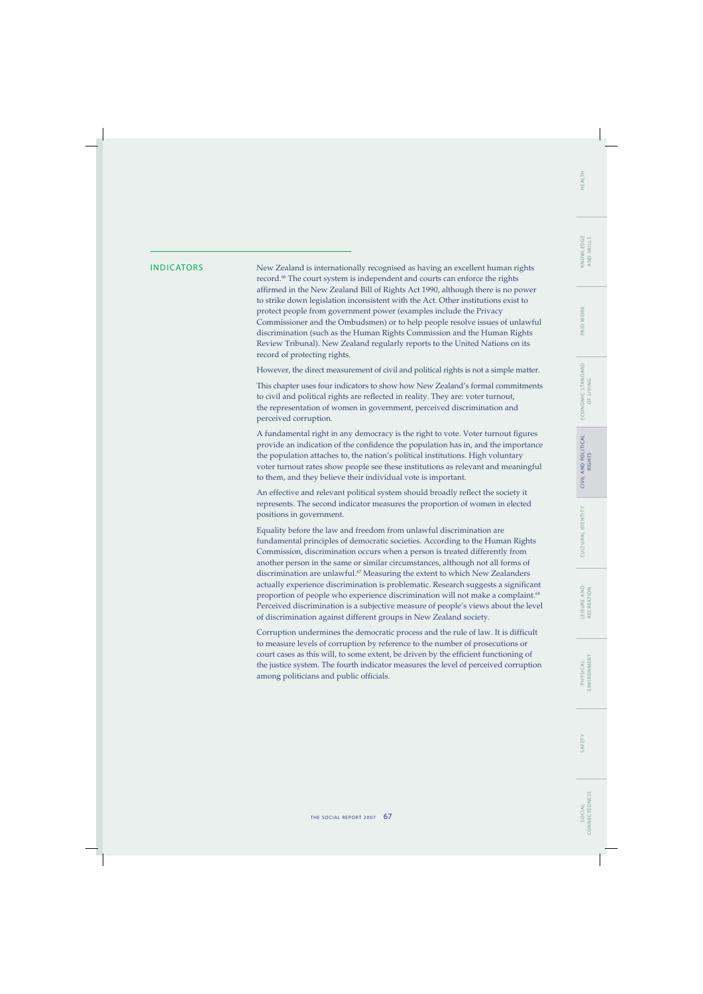## WORK PAID<sub>V</sub>

INDICATORS New Zealand is internationally recognised as having an excellent human rights record.<sup>66</sup> The court system is independent and courts can enforce the rights affirmed in the New Zealand Bill of Rights Act 1990, although there is no power to strike down legislation inconsistent with the Act. Other institutions exist to protect people from government power (examples include the Privacy Commissioner and the Ombudsmen) or to help people resolve issues of unlawful discrimination (such as the Human Rights Commission and the Human Rights Review Tribunal). New Zealand regularly reports to the United Nations on its record of protecting rights.

However, the direct measurement of civil and political rights is not a simple matter.

This chapter uses four indicators to show how New Zealand's formal commitments to civil and political rights are reflected in reality. They are: voter turnout, the representation of women in government, perceived discrimination and perceived corruption.

A fundamental right in any democracy is the right to vote. Voter turnout figures provide an indication of the confidence the population has in, and the importance the population attaches to, the nation's political institutions. High voluntary voter turnout rates show people see these institutions as relevant and meaningful to them, and they believe their individual vote is important.

An effective and relevant political system should broadly reflect the society it represents. The second indicator measures the proportion of women in elected positions in government.

Equality before the law and freedom from unlawful discrimination are fundamental principles of democratic societies. According to the Human Rights Commission, discrimination occurs when a person is treated differently from another person in the same or similar circumstances, although not all forms of discrimination are unlawful.67 Measuring the extent to which New Zealanders actually experience discrimination is problematic. Research suggests a significant proportion of people who experience discrimination will not make a complaint.<sup>68</sup> Perceived discrimination is a subjective measure of people's views about the level of discrimination against different groups in New Zealand society.

Corruption undermines the democratic process and the rule of law. It is difficult to measure levels of corruption by reference to the number of prosecutions or court cases as this will, to some extent, be driven by the efficient functioning of the justice system. The fourth indicator measures the level of perceived corruption among politicians and public officials.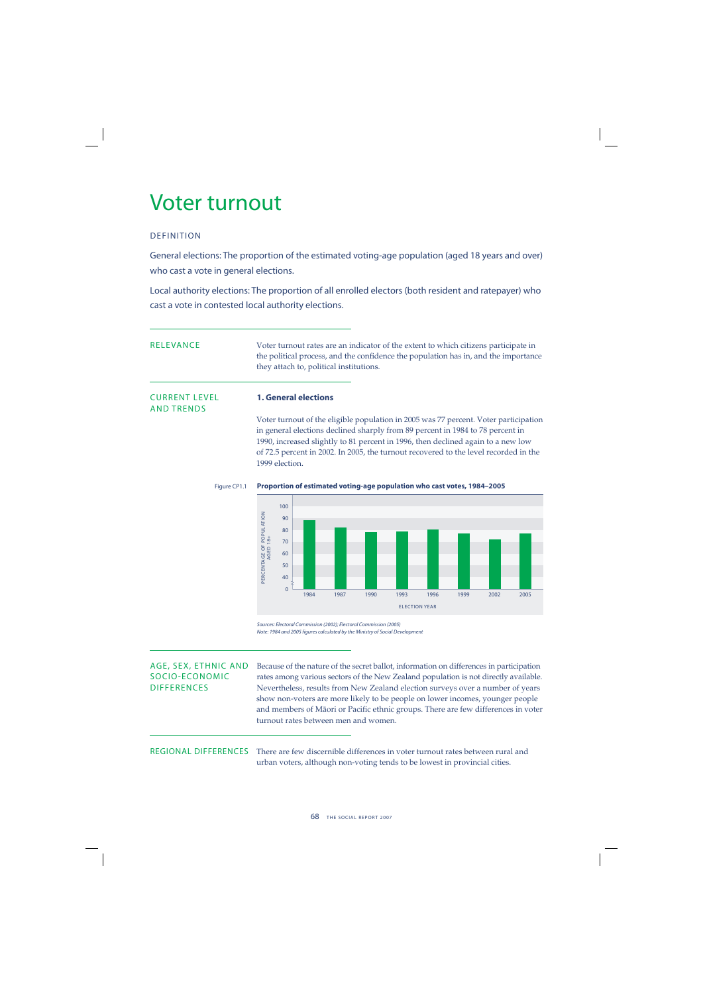## Voter turnout

## DEFINITION

AND TRENDS

General elections: The proportion of the estimated voting-age population (aged 18 years and over) who cast a vote in general elections.

Local authority elections: The proportion of all enrolled electors (both resident and ratepayer) who cast a vote in contested local authority elections.

| <b>CURRENT LEVEL</b> | <b>1. General elections</b>             |                                                                                                                                                                            |
|----------------------|-----------------------------------------|----------------------------------------------------------------------------------------------------------------------------------------------------------------------------|
| RELEVANCE            | they attach to, political institutions. | Voter turnout rates are an indicator of the extent to which citizens participate in<br>the political process, and the confidence the population has in, and the importance |

## Voter turnout of the eligible population in 2005 was 77 percent. Voter participation in general elections declined sharply from 89 percent in 1984 to 78 percent in 1990, increased slightly to 81 percent in 1996, then declined again to a new low of 72.5 percent in 2002. In 2005, the turnout recovered to the level recorded in the 1999 election.



### Figure CP1.1 **Proportion of estimated voting-age population who cast votes, 1984–2005**

Sources: Electoral Commission (2002); Electoral Commission (2005) Note: 1984 and 2005 figures calculated by the Ministry of Social Development

AGE, SEX, ETHNIC AND Because of the nature of the secret ballot, information on differences in participation<br>SOCIO-ECONOMIC rates among various sectors of the New Zealand population is not directly available. SOCIO-ECONOMIC rates among various sectors of the New Zealand population is not directly available.<br>DIFFERENCES Nevertheless results from New Zealand election surveys over a number of years Nevertheless, results from New Zealand election surveys over a number of years show non-voters are more likely to be people on lower incomes, younger people and members of Māori or Pacific ethnic groups. There are few differences in voter turnout rates between men and women.

REGIONAL DIFFERENCES There are few discernible differences in voter turnout rates between rural and urban voters, although non-voting tends to be lowest in provincial cities.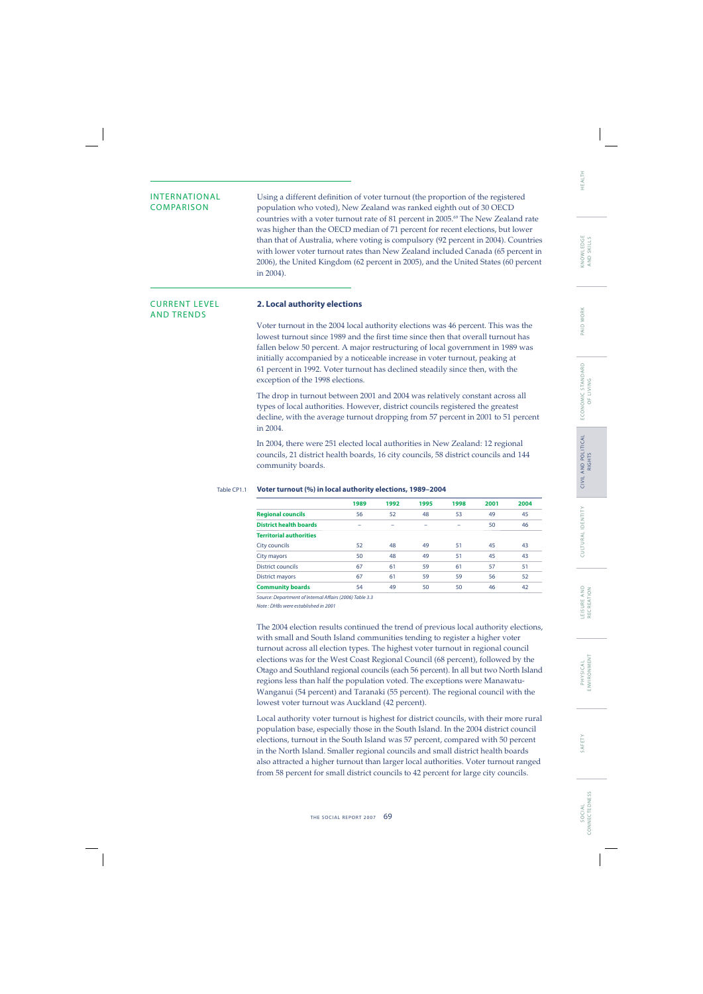AND TRENDS

INTERNATIONAL Using a different definition of voter turnout (the proportion of the registered<br>
COMPARISON population who voted) New Zealand was ranked ejecth out of 30 OECD population who voted), New Zealand was ranked eighth out of 30 OECD countries with a voter turnout rate of 81 percent in 2005.<sup>69</sup> The New Zealand rate was higher than the OECD median of 71 percent for recent elections, but lower than that of Australia, where voting is compulsory (92 percent in 2004). Countries with lower voter turnout rates than New Zealand included Canada (65 percent in 2006), the United Kingdom (62 percent in 2005), and the United States (60 percent in 2004).

## CURRENT LEVEL **2. Local authority elections**

Voter turnout in the 2004 local authority elections was 46 percent. This was the lowest turnout since 1989 and the first time since then that overall turnout has fallen below 50 percent. A major restructuring of local government in 1989 was initially accompanied by a noticeable increase in voter turnout, peaking at 61 percent in 1992. Voter turnout has declined steadily since then, with the exception of the 1998 elections.

The drop in turnout between 2001 and 2004 was relatively constant across all types of local authorities. However, district councils registered the greatest decline, with the average turnout dropping from 57 percent in 2001 to 51 percent in 2004.

In 2004, there were 251 elected local authorities in New Zealand: 12 regional councils, 21 district health boards, 16 city councils, 58 district councils and 144 community boards.

|                                | 1989 | 1992 | 1995                     | 1998 | 2001 | 2004 |
|--------------------------------|------|------|--------------------------|------|------|------|
| <b>Regional councils</b>       | 56   | 52   | 48                       | 53   | 49   | 45   |
| <b>District health boards</b>  | -    | -    | $\overline{\phantom{0}}$ |      | 50   | 46   |
| <b>Territorial authorities</b> |      |      |                          |      |      |      |
| City councils                  | 52   | 48   | 49                       | 51   | 45   | 43   |
| City mayors                    | 50   | 48   | 49                       | 51   | 45   | 43   |
| <b>District councils</b>       | 67   | 61   | 59                       | 61   | 57   | 51   |
| <b>District mayors</b>         | 67   | 61   | 59                       | 59   | 56   | 52   |
| <b>Community boards</b>        | 54   | 49   | 50                       | 50   | 46   | 42   |
|                                |      |      |                          |      |      |      |

### Table CP1.1 **Voter turnout (%) in local authority elections, 1989–2004**

Source: Department of Internal Affairs (2006) Table 3.3

Note : DHBs were established in 2001

The 2004 election results continued the trend of previous local authority elections, with small and South Island communities tending to register a higher voter turnout across all election types. The highest voter turnout in regional council elections was for the West Coast Regional Council (68 percent), followed by the Otago and Southland regional councils (each 56 percent). In all but two North Island regions less than half the population voted. The exceptions were Manawatu-Wanganui (54 percent) and Taranaki (55 percent). The regional council with the lowest voter turnout was Auckland (42 percent).

Local authority voter turnout is highest for district councils, with their more rural population base, especially those in the South Island. In the 2004 district council elections, turnout in the South Island was 57 percent, compared with 50 percent in the North Island. Smaller regional councils and small district health boards also attracted a higher turnout than larger local authorities. Voter turnout ranged from 58 percent for small district councils to 42 percent for large city councils.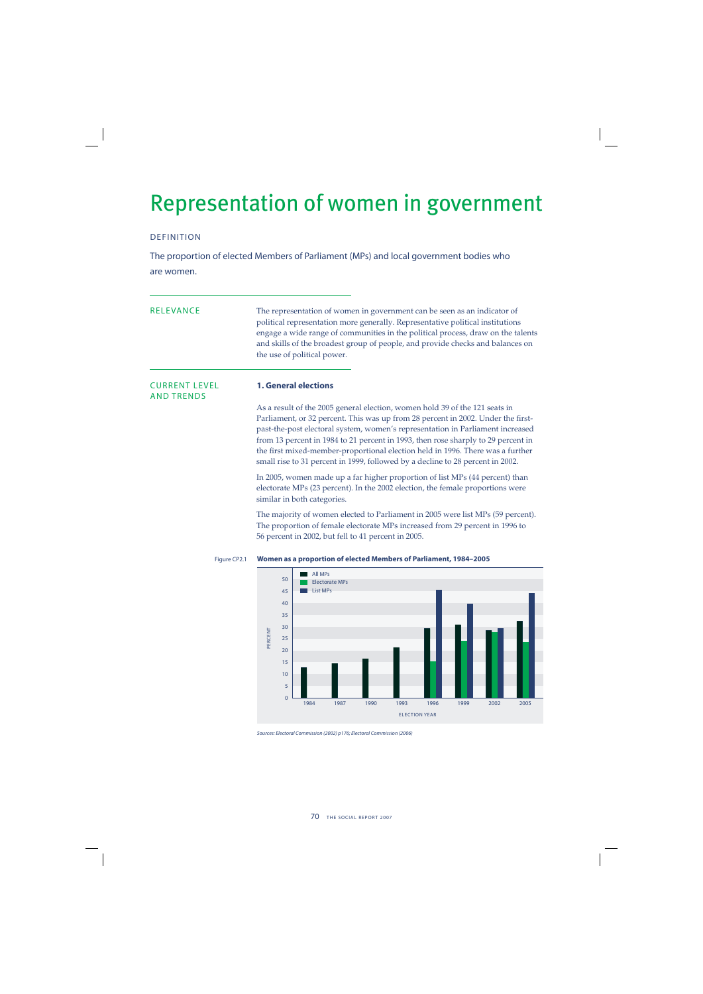## Representation of women in government

## DEFINITION

The proportion of elected Members of Parliament (MPs) and local government bodies who are women.

| <b>RELEVANCE</b>                          | The representation of women in government can be seen as an indicator of<br>political representation more generally. Representative political institutions<br>engage a wide range of communities in the political process, draw on the talents<br>and skills of the broadest group of people, and provide checks and balances on<br>the use of political power.                                                                                                                                            |
|-------------------------------------------|------------------------------------------------------------------------------------------------------------------------------------------------------------------------------------------------------------------------------------------------------------------------------------------------------------------------------------------------------------------------------------------------------------------------------------------------------------------------------------------------------------|
| <b>CURRENT LEVEL</b><br><b>AND TRENDS</b> | <b>1. General elections</b>                                                                                                                                                                                                                                                                                                                                                                                                                                                                                |
|                                           | As a result of the 2005 general election, women hold 39 of the 121 seats in<br>Parliament, or 32 percent. This was up from 28 percent in 2002. Under the first-<br>past-the-post electoral system, women's representation in Parliament increased<br>from 13 percent in 1984 to 21 percent in 1993, then rose sharply to 29 percent in<br>the first mixed-member-proportional election held in 1996. There was a further<br>small rise to 31 percent in 1999, followed by a decline to 28 percent in 2002. |
|                                           | In 2005, women made up a far higher proportion of list MPs (44 percent) than<br>electorate MPs (23 percent). In the 2002 election, the female proportions were<br>similar in both categories.                                                                                                                                                                                                                                                                                                              |
|                                           | The majority of women elected to Parliament in 2005 were list MPs (59 percent).<br>The proportion of female electorate MPs increased from 29 percent in 1996 to<br>56 percent in 2002, but fell to 41 percent in 2005.                                                                                                                                                                                                                                                                                     |



Figure CP2.1 **Women as a proportion of elected Members of Parliament, 1984–2005**

Sources: Electoral Commission (2002) p176; Electoral Commission (2006)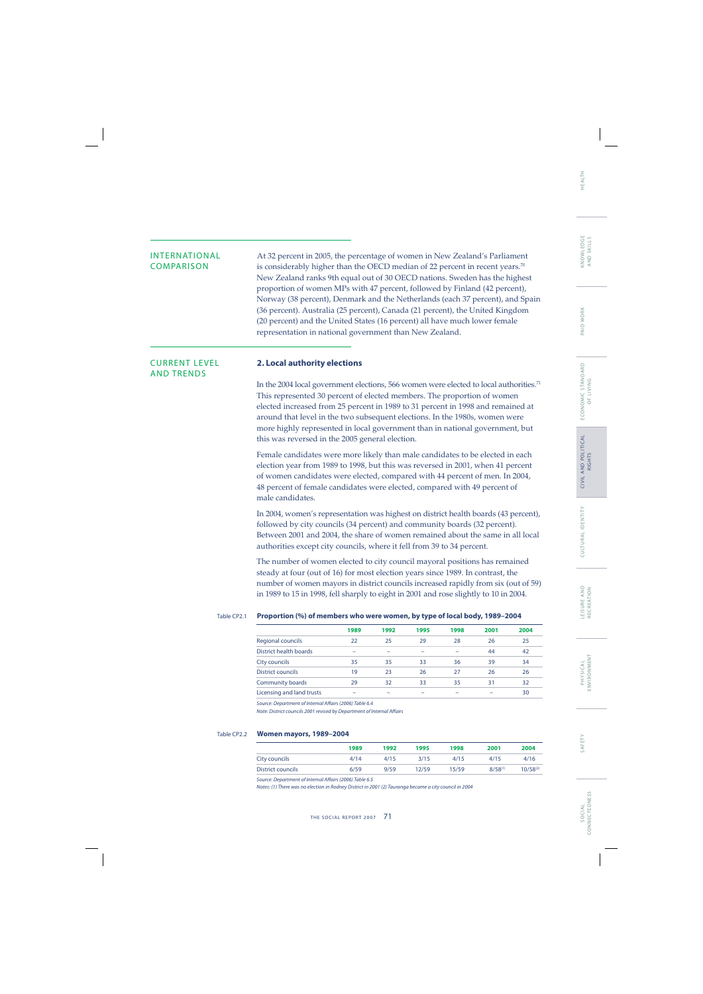INTERNATIONAL  $\qquad \qquad$  At 32 percent in 2005, the percentage of women in New Zealand's Parliament COMPARISON is considerably higher than the OECD median of 22 percent in recent vears.<sup>70</sup> is considerably higher than the OECD median of 22 percent in recent years.<sup>70</sup> New Zealand ranks 9th equal out of 30 OECD nations. Sweden has the highest proportion of women MPs with 47 percent, followed by Finland (42 percent), Norway (38 percent), Denmark and the Netherlands (each 37 percent), and Spain (36 percent). Australia (25 percent), Canada (21 percent), the United Kingdom (20 percent) and the United States (16 percent) all have much lower female representation in national government than New Zealand.

## AND TRENDS

## CURRENT LEVEL **2. Local authority elections**

In the 2004 local government elections, 566 women were elected to local authorities.<sup>71</sup> This represented 30 percent of elected members. The proportion of women elected increased from 25 percent in 1989 to 31 percent in 1998 and remained at around that level in the two subsequent elections. In the 1980s, women were more highly represented in local government than in national government, but this was reversed in the 2005 general election.

Female candidates were more likely than male candidates to be elected in each election year from 1989 to 1998, but this was reversed in 2001, when 41 percent of women candidates were elected, compared with 44 percent of men. In 2004, 48 percent of female candidates were elected, compared with 49 percent of male candidates.

In 2004, women's representation was highest on district health boards (43 percent), followed by city councils (34 percent) and community boards (32 percent). Between 2001 and 2004, the share of women remained about the same in all local authorities except city councils, where it fell from 39 to 34 percent.

The number of women elected to city council mayoral positions has remained steady at four (out of 16) for most election years since 1989. In contrast, the number of women mayors in district councils increased rapidly from six (out of 59) in 1989 to 15 in 1998, fell sharply to eight in 2001 and rose slightly to 10 in 2004.

### Table CP2.1 **Proportion (%) of members who were women, by type of local body, 1989–2004**

|                           | 1989 | 1992 | 1995 | 1998 | 2001 | 2004 |
|---------------------------|------|------|------|------|------|------|
| <b>Regional councils</b>  | 22   | 25   | 29   | 28   | 26   | 25   |
| District health boards    | -    | -    |      |      | 44   | 42   |
| City councils             | 35   | 35   | 33   | 36   | 39   | 34   |
| District councils         | 19   | 23   | 26   | 27   | 26   | 26   |
| <b>Community boards</b>   | 29   | 32   | 33   | 35   | 31   | 32   |
| Licensing and land trusts | -    |      |      |      |      | 30   |

Source: Department of Internal Affairs (2006) Table 6.4

Note: District councils 2001 revised by Department of Internal Affairs

### Table CP2.2 **Women mayors, 1989–2004**

|                   | 1989 | 1992 | 1995  | 1998  | 2001         | 2004          |
|-------------------|------|------|-------|-------|--------------|---------------|
| City councils     | 4/14 | 4/15 | 3/15  | 4/15  | 4/15         | 4/16          |
| District councils | 6/59 | 9/59 | 12/59 | 15/59 | $8/58^{(1)}$ | $10/58^{(2)}$ |

Source: Department of Internal Affairs (2006) Table 6.5

Notes: (1) There was no election in Rodney District in 2001 (2) Tauranga became a city council in 2004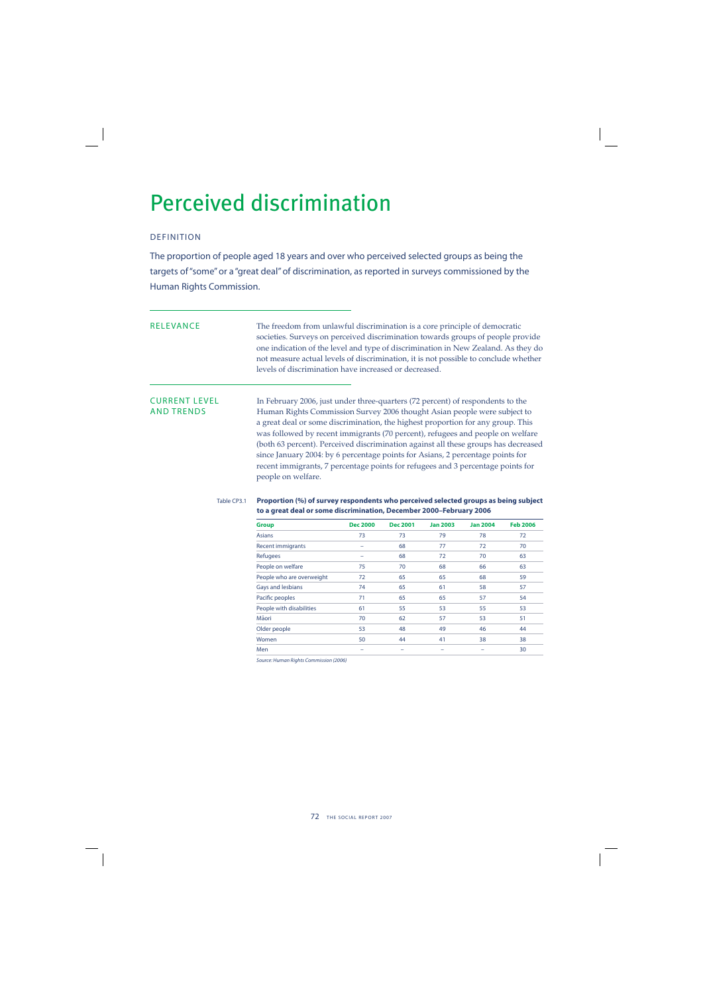## Perceived discrimination

## DEFINITION

The proportion of people aged 18 years and over who perceived selected groups as being the targets of "some" or a "great deal" of discrimination, as reported in surveys commissioned by the Human Rights Commission.

RELEVANCE The freedom from unlawful discrimination is a core principle of democratic societies. Surveys on perceived discrimination towards groups of people provide one indication of the level and type of discrimination in New Zealand. As they do not measure actual levels of discrimination, it is not possible to conclude whether levels of discrimination have increased or decreased.

CURRENT LEVEL In February 2006, just under three-quarters (72 percent) of respondents to the<br>AND TRENDS Human Rights Commission Survey 2006 thought Asian people were subject to Human Rights Commission Survey 2006 thought Asian people were subject to a great deal or some discrimination, the highest proportion for any group. This was followed by recent immigrants (70 percent), refugees and people on welfare (both 63 percent). Perceived discrimination against all these groups has decreased since January 2004: by 6 percentage points for Asians, 2 percentage points for recent immigrants, 7 percentage points for refugees and 3 percentage points for people on welfare.

### Table CP3.1 **Proportion (%) of survey respondents who perceived selected groups as being subject to a great deal or some discrimination, December 2000–February 2006**

| <b>Group</b>              | <b>Dec 2000</b> | <b>Dec 2001</b> | <b>Jan 2003</b> | <b>Jan 2004</b> | <b>Feb 2006</b> |
|---------------------------|-----------------|-----------------|-----------------|-----------------|-----------------|
| <b>Asians</b>             | 73              | 73              | 79              | 78              | 72              |
| <b>Recent immigrants</b>  |                 | 68              | 77              | 72              | 70              |
| Refugees                  |                 | 68              | 72              | 70              | 63              |
| People on welfare         | 75              | 70              | 68              | 66              | 63              |
| People who are overweight | 72              | 65              | 65              | 68              | 59              |
| Gays and lesbians         | 74              | 65              | 61              | 58              | 57              |
| Pacific peoples           | 71              | 65              | 65              | 57              | 54              |
| People with disabilities  | 61              | 55              | 53              | 55              | 53              |
| Māori                     | 70              | 62              | 57              | 53              | 51              |
| Older people              | 53              | 48              | 49              | 46              | 44              |
| Women                     | 50              | 44              | 41              | 38              | 38              |
| Men                       | -               |                 |                 |                 | 30              |

Source: Human Rights Commission (2006)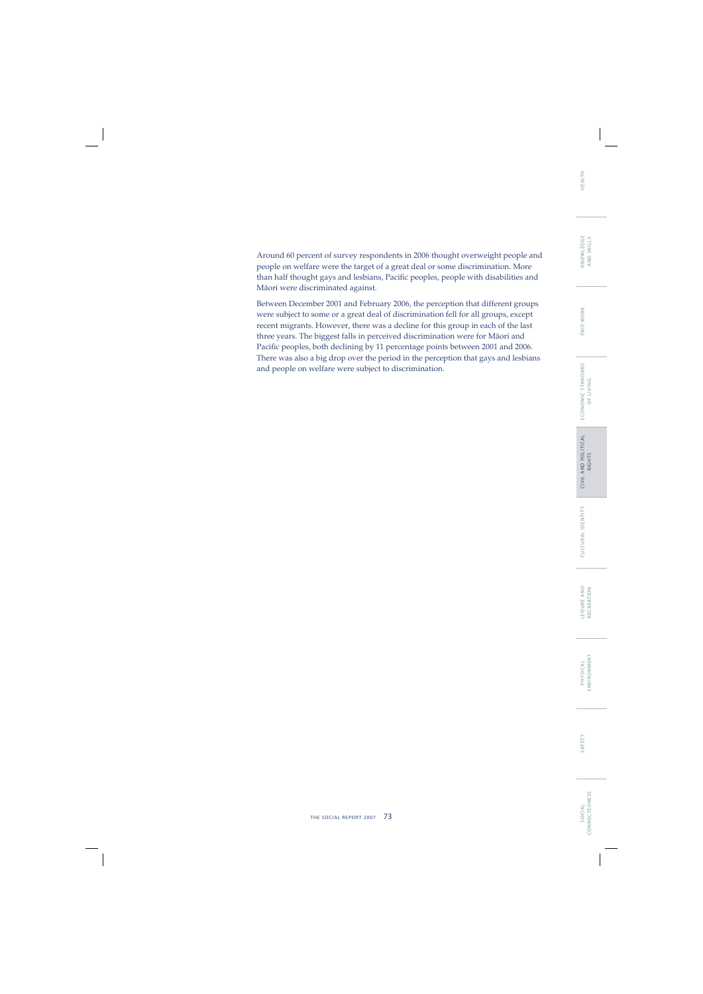SOCIAL<br>CONNECTEDNESS CONNECTEDNESS S O C I A L

Around 60 percent of survey respondents in 2006 thought overweight people and people on welfare were the target of a great deal or some discrimination. More than half thought gays and lesbians, Pacific peoples, people with disabilities and Mäori were discriminated against.

Between December 2001 and February 2006, the perception that different groups were subject to some or a great deal of discrimination fell for all groups, except recent migrants. However, there was a decline for this group in each of the last three years. The biggest falls in perceived discrimination were for Mäori and Pacific peoples, both declining by 11 percentage points between 2001 and 2006. There was also a big drop over the period in the perception that gays and lesbians and people on welfare were subject to discrimination.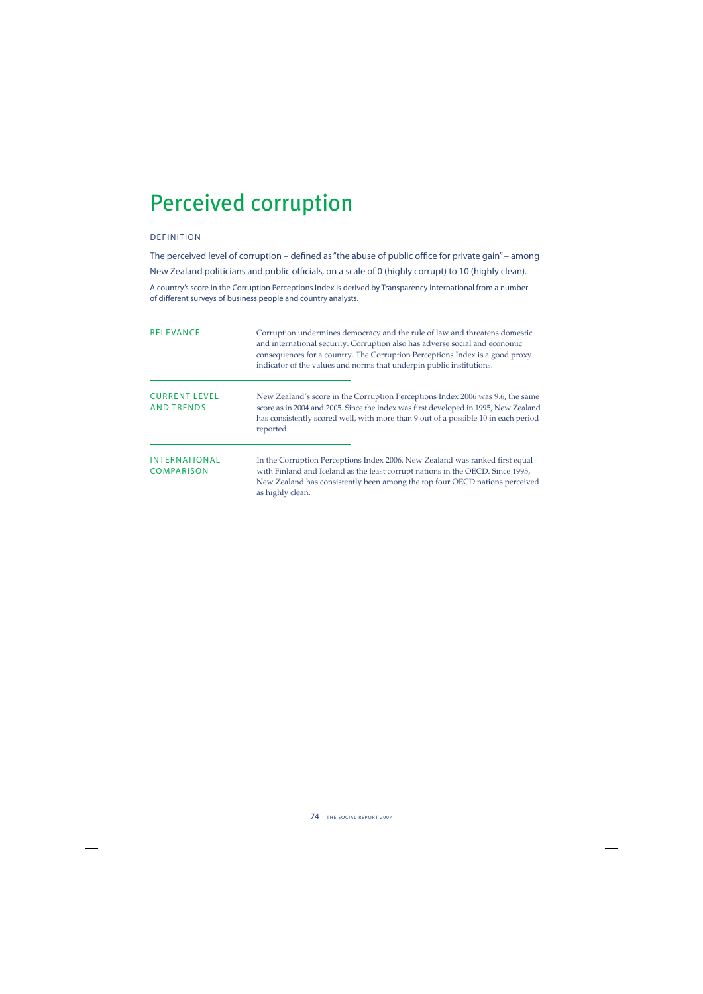## Perceived corruption

## DEFINITION

The perceived level of corruption – defined as "the abuse of public office for private gain" – among New Zealand politicians and public officials, on a scale of 0 (highly corrupt) to 10 (highly clean).

A country's score in the Corruption Perceptions Index is derived by Transparency International from a number of different surveys of business people and country analysts.

| <b>RELEVANCE</b>                          | Corruption undermines democracy and the rule of law and threatens domestic<br>and international security. Corruption also has adverse social and economic<br>consequences for a country. The Corruption Perceptions Index is a good proxy<br>indicator of the values and norms that underpin public institutions. |
|-------------------------------------------|-------------------------------------------------------------------------------------------------------------------------------------------------------------------------------------------------------------------------------------------------------------------------------------------------------------------|
| <b>CURRENT LEVEL</b><br><b>AND TRENDS</b> | New Zealand's score in the Corruption Perceptions Index 2006 was 9.6, the same<br>score as in 2004 and 2005. Since the index was first developed in 1995, New Zealand<br>has consistently scored well, with more than 9 out of a possible 10 in each period<br>reported.                                          |
| INTERNATIONAL<br><b>COMPARISON</b>        | In the Corruption Perceptions Index 2006, New Zealand was ranked first equal<br>with Finland and Iceland as the least corrupt nations in the OECD. Since 1995,<br>New Zealand has consistently been among the top four OECD nations perceived<br>as highly clean.                                                 |